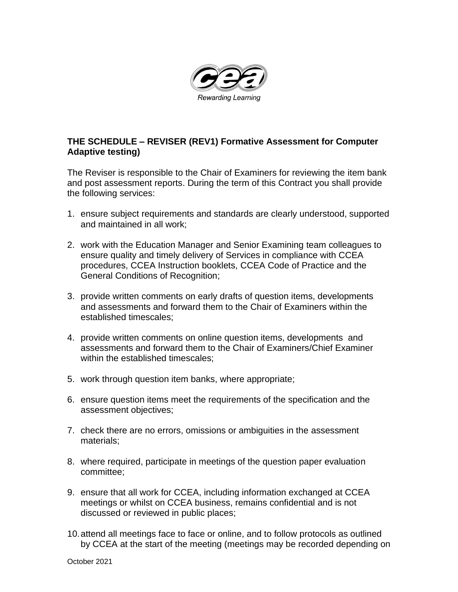

## **THE SCHEDULE – REVISER (REV1) Formative Assessment for Computer Adaptive testing)**

The Reviser is responsible to the Chair of Examiners for reviewing the item bank and post assessment reports. During the term of this Contract you shall provide the following services:

- 1. ensure subject requirements and standards are clearly understood, supported and maintained in all work;
- 2. work with the Education Manager and Senior Examining team colleagues to ensure quality and timely delivery of Services in compliance with CCEA procedures, CCEA Instruction booklets, CCEA Code of Practice and the General Conditions of Recognition;
- 3. provide written comments on early drafts of question items, developments and assessments and forward them to the Chair of Examiners within the established timescales;
- 4. provide written comments on online question items, developments and assessments and forward them to the Chair of Examiners/Chief Examiner within the established timescales;
- 5. work through question item banks, where appropriate;
- 6. ensure question items meet the requirements of the specification and the assessment objectives;
- 7. check there are no errors, omissions or ambiguities in the assessment materials;
- 8. where required, participate in meetings of the question paper evaluation committee;
- 9. ensure that all work for CCEA, including information exchanged at CCEA meetings or whilst on CCEA business, remains confidential and is not discussed or reviewed in public places;
- 10.attend all meetings face to face or online, and to follow protocols as outlined by CCEA at the start of the meeting (meetings may be recorded depending on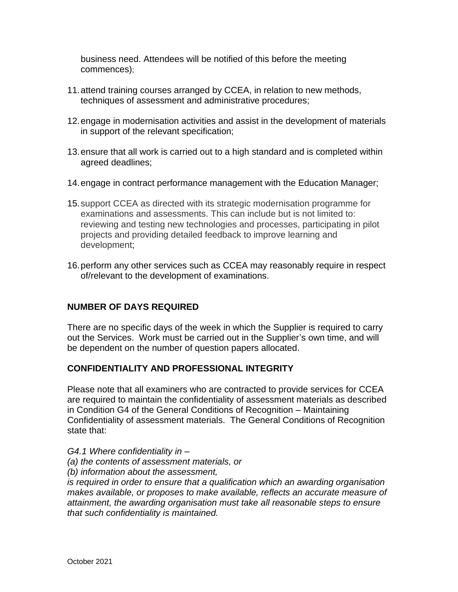business need. Attendees will be notified of this before the meeting commences);

- 11.attend training courses arranged by CCEA, in relation to new methods, techniques of assessment and administrative procedures;
- 12.engage in modernisation activities and assist in the development of materials in support of the relevant specification;
- 13.ensure that all work is carried out to a high standard and is completed within agreed deadlines;
- 14.engage in contract performance management with the Education Manager;
- 15.support CCEA as directed with its strategic modernisation programme for examinations and assessments. This can include but is not limited to: reviewing and testing new technologies and processes, participating in pilot projects and providing detailed feedback to improve learning and development;
- 16.perform any other services such as CCEA may reasonably require in respect of/relevant to the development of examinations.

## **NUMBER OF DAYS REQUIRED**

There are no specific days of the week in which the Supplier is required to carry out the Services. Work must be carried out in the Supplier's own time, and will be dependent on the number of question papers allocated.

## **CONFIDENTIALITY AND PROFESSIONAL INTEGRITY**

Please note that all examiners who are contracted to provide services for CCEA are required to maintain the confidentiality of assessment materials as described in Condition G4 of the General Conditions of Recognition – Maintaining Confidentiality of assessment materials. The General Conditions of Recognition state that:

*G4.1 Where confidentiality in –*

- *(a) the contents of assessment materials, or*
- *(b) information about the assessment,*

*is required in order to ensure that a qualification which an awarding organisation makes available, or proposes to make available, reflects an accurate measure of attainment, the awarding organisation must take all reasonable steps to ensure that such confidentiality is maintained.*